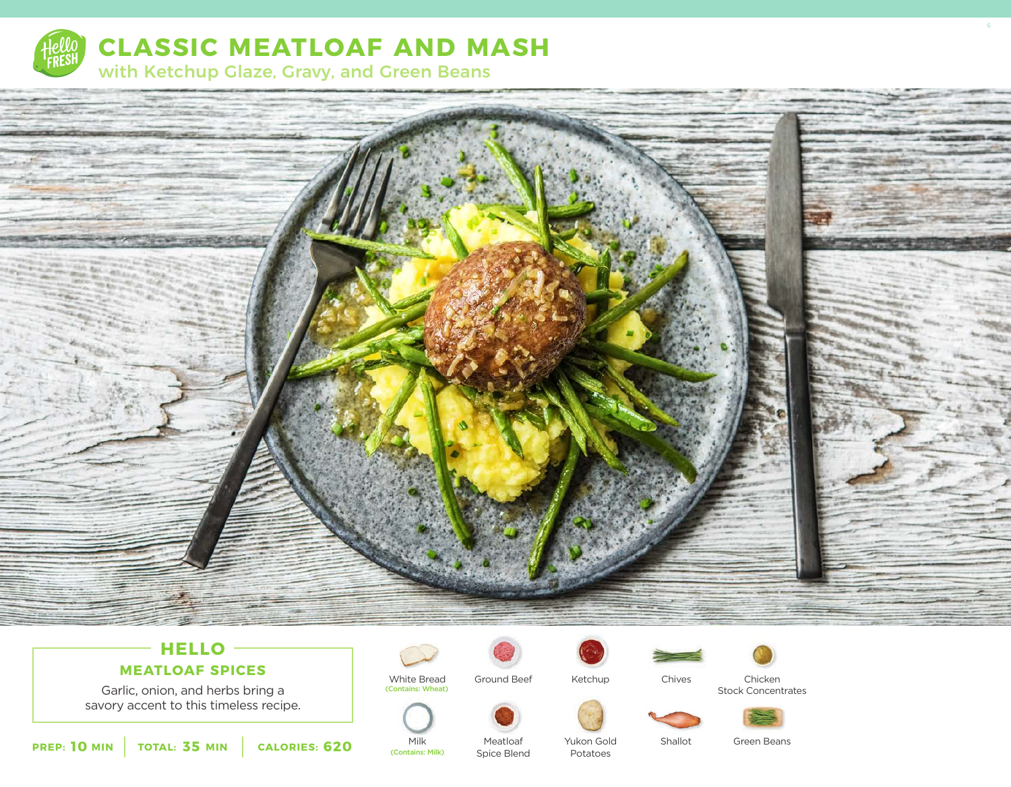

**CLASSIC MEATLOAF AND MASH**

with Ketchup Glaze, Gravy, and Green Beans



# **HELLO MEATLOAF SPICES**

Garlic, onion, and herbs bring a savory accent to this timeless recipe.



White Bread Ground Beef (Contains: Wheat)





Chives Chicken Stock Concentrates



**10** MIN | TOTAL: 35 MIN | CALORIES: 620

(Contains: Milk)

Meatloaf Spice Blend Yukon Gold Potatoes

Milk Meatloaf Yukon Gold Shallot Green Beans